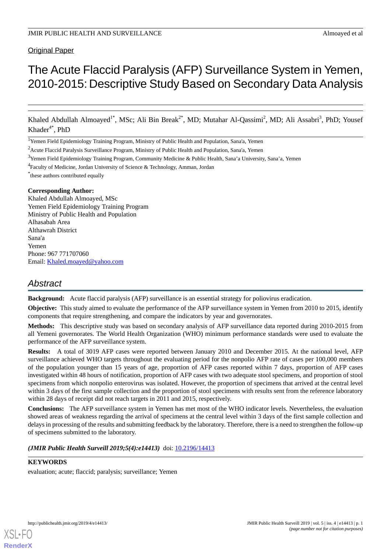# Original Paper

# The Acute Flaccid Paralysis (AFP) Surveillance System in Yemen, 2010-2015: Descriptive Study Based on Secondary Data Analysis

Khaled Abdullah Almoayed<sup>1\*</sup>, MSc; Ali Bin Break<sup>2\*</sup>, MD; Mutahar Al-Qassimi<sup>2</sup>, MD; Ali Assabri<sup>3</sup>, PhD; Yousef  $Khader^{4*}$ , PhD

<sup>1</sup>Yemen Field Epidemiology Training Program, Ministry of Public Health and Population, Sana'a, Yemen

<sup>2</sup> Acute Flaccid Paralysis Surveillance Program, Ministry of Public Health and Population, Sana'a, Yemen

 $3$ Yemen Field Epidemiology Training Program, Community Medicine & Public Health, Sana'a University, Sana'a, Yemen

<sup>4</sup> Faculty of Medicine, Jordan University of Science & Technology, Amman, Jordan

\* these authors contributed equally

## **Corresponding Author:**

Khaled Abdullah Almoayed, MSc Yemen Field Epidemiology Training Program Ministry of Public Health and Population Alhasabah Area Althawrah District Sana'a Yemen Phone: 967 771707060 Email: [Khaled.moayed@yahoo.com](mailto:Khaled.moayed@yahoo.com)

# *Abstract*

**Background:** Acute flaccid paralysis (AFP) surveillance is an essential strategy for poliovirus eradication.

**Objective:** This study aimed to evaluate the performance of the AFP surveillance system in Yemen from 2010 to 2015, identify components that require strengthening, and compare the indicators by year and governorates.

**Methods:** This descriptive study was based on secondary analysis of AFP surveillance data reported during 2010-2015 from all Yemeni governorates. The World Health Organization (WHO) minimum performance standards were used to evaluate the performance of the AFP surveillance system.

**Results:** A total of 3019 AFP cases were reported between January 2010 and December 2015. At the national level, AFP surveillance achieved WHO targets throughout the evaluating period for the nonpolio AFP rate of cases per 100,000 members of the population younger than 15 years of age, proportion of AFP cases reported within 7 days, proportion of AFP cases investigated within 48 hours of notification, proportion of AFP cases with two adequate stool specimens, and proportion of stool specimens from which nonpolio enterovirus was isolated. However, the proportion of specimens that arrived at the central level within 3 days of the first sample collection and the proportion of stool specimens with results sent from the reference laboratory within 28 days of receipt did not reach targets in 2011 and 2015, respectively.

**Conclusions:** The AFP surveillance system in Yemen has met most of the WHO indicator levels. Nevertheless, the evaluation showed areas of weakness regarding the arrival of specimens at the central level within 3 days of the first sample collection and delays in processing of the results and submitting feedback by the laboratory. Therefore, there is a need to strengthen the follow-up of specimens submitted to the laboratory.

# *(JMIR Public Health Surveill 2019;5(4):e14413)* doi: [10.2196/14413](http://dx.doi.org/10.2196/14413)

# **KEYWORDS**

evaluation; acute; flaccid; paralysis; surveillance; Yemen

**[RenderX](http://www.renderx.com/)**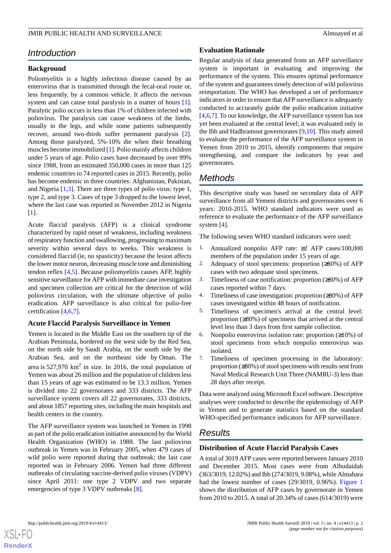# *Introduction*

## **Background**

Poliomyelitis is a highly infectious disease caused by an enterovirus that is transmitted through the fecal-oral route or, less frequently, by a common vehicle. It affects the nervous system and can cause total paralysis in a matter of hours [[1\]](#page-6-0). Paralytic polio occurs in less than 1% of children infected with poliovirus. The paralysis can cause weakness of the limbs, usually in the legs, and while some patients subsequently recover, around two-thirds suffer permanent paralysis [[2\]](#page-6-1). Among those paralyzed, 5%-10% die when their breathing muscles become immobilized [\[1](#page-6-0)]. Polio mainly affects children under 5 years of age. Polio cases have decreased by over 99% since 1988, from an estimated 350,000 cases in more than 125 endemic countries to 74 reported cases in 2015. Recently, polio has become endemic in three countries: Afghanistan, Pakistan, and Nigeria [[1,](#page-6-0)[3](#page-6-2)]. There are three types of polio virus: type 1, type 2, and type 3. Cases of type 3 dropped to the lowest level, where the last case was reported in November 2012 in Nigeria [[1\]](#page-6-0).

Acute flaccid paralysis (AFP) is a clinical syndrome characterized by rapid onset of weakness, including weakness of respiratory function and swallowing, progressing to maximum severity within several days to weeks. This weakness is considered flaccid (ie, no spasticity) because the lesion affects the lower motor neuron, decreasing muscle tone and diminishing tendon reflex [[4](#page-6-3)[,5](#page-6-4)]. Because poliomyelitis causes AFP, highly sensitive surveillance for AFP with immediate case investigation and specimen collection are critical for the detection of wild poliovirus circulation, with the ultimate objective of polio eradication. AFP surveillance is also critical for polio-free certification [\[4,](#page-6-3)[6,](#page-6-5)[7](#page-6-6)].

#### **Acute Flaccid Paralysis Surveillance in Yemen**

Yemen is located in the Middle East on the southern tip of the Arabian Peninsula, bordered on the west side by the Red Sea, on the north side by Saudi Arabia, on the south side by the Arabian Sea, and on the northeast side by Oman. The area is  $527,970 \text{ km}^2$  in size. In 2016, the total population of Yemen was about 26 million and the population of children less than 15 years of age was estimated to be 13.3 million. Yemen is divided into 22 governorates and 333 districts. The AFP surveillance system covers all 22 governorates, 333 districts, and about 1857 reporting sites, including the main hospitals and health centers in the country.

The AFP surveillance system was launched in Yemen in 1998 as part of the polio eradication initiative announced by the World Health Organization (WHO) in 1988. The last poliovirus outbreak in Yemen was in February 2005, when 479 cases of wild polio were reported during that outbreak; the last case reported was in February 2006. Yemen had three different outbreaks of circulating vaccine-derived polio viruses (VDPV) since April 2011: one type 2 VDPV and two separate emergencies of type 3 VDPV outbreaks [\[8](#page-6-7)].

#### **Evaluation Rationale**

Regular analysis of data generated from an AFP surveillance system is important in evaluating and improving the performance of the system. This ensures optimal performance of the system and guarantees timely detection of wild poliovirus reimportation. The WHO has developed a set of performance indicators in order to ensure that AFP surveillance is adequately conducted to accurately guide the polio eradication initiative [[4](#page-6-3)[,6,](#page-6-5)[7\]](#page-6-6). To our knowledge, the AFP surveillance system has not yet been evaluated at the central level; it was evaluated only in the Ibb and Hadhramout governorates [\[9](#page-6-8),[10\]](#page-6-9). This study aimed to evaluate the performance of the AFP surveillance system in Yemen from 2010 to 2015, identify components that require strengthening, and compare the indicators by year and governorates.

# *Methods*

This descriptive study was based on secondary data of AFP surveillance from all Yemeni districts and governorates over 6 years: 2010-2015. WHO standard indicators were used as reference to evaluate the performance of the AFP surveillance system [\[4](#page-6-3)].

The following seven WHO standard indicators were used:

- 1. Annualized nonpolio AFP rate: ≥2 AFP cases/100,000 members of the population under 15 years of age.
- 2. Adequacy of stool specimens: proportion  $(\geq 80\%)$  of AFP cases with two adequate stool specimens.
- 3. Timeliness of case notification: proportion (≥80%) of AFP cases reported within 7 days.
- 4. Timeliness of case investigation: proportion (≥80%) of AFP cases investigated within 48 hours of notification.
- 5. Timeliness of specimen's arrival at the central level: proportion (≥80%) of specimens that arrived at the central level less than 3 days from first sample collection.
- 6. Nonpolio enterovirus isolation rate: proportion  $(\geq 10\%)$  of stool specimens from which nonpolio enterovirus was isolated.
- 7. Timeliness of specimen processing in the laboratory: proportion (≥80%) of stool specimens with results sent from Naval Medical Research Unit Three (NAMRU-3) less than 28 days after receipt.

Data were analyzed using Microsoft Excel software. Descriptive analyses were conducted to describe the epidemiology of AFP in Yemen and to generate statistics based on the standard WHO-specified performance indicators for AFP surveillance.

# *Results*

# **Distribution of Acute Flaccid Paralysis Cases**

A total of 3019 AFP cases were reported between January 2010 and December 2015. Most cases were from Alhudaidah (363/3019, 12.02%) and Ibb (274/3019, 9.08%), while Almahara had the lowest number of cases (29/3019, 0.96%). [Figure 1](#page-2-0) shows the distribution of AFP cases by governorate in Yemen from 2010 to 2015. A total of 20.34% of cases (614/3019) were

**[RenderX](http://www.renderx.com/)**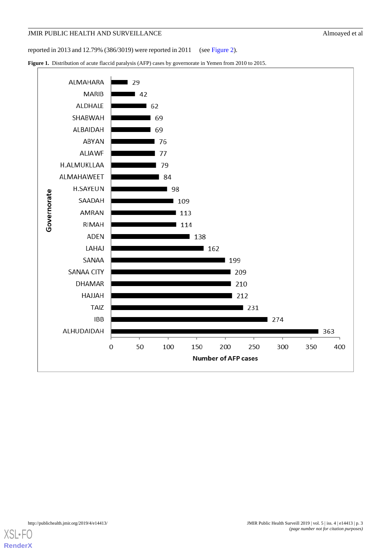reported in 2013 and 12.79% (386/3019) were reported in 2011 (see [Figure 2\)](#page-3-0).

<span id="page-2-0"></span>Figure 1. Distribution of acute flaccid paralysis (AFP) cases by governorate in Yemen from 2010 to 2015.

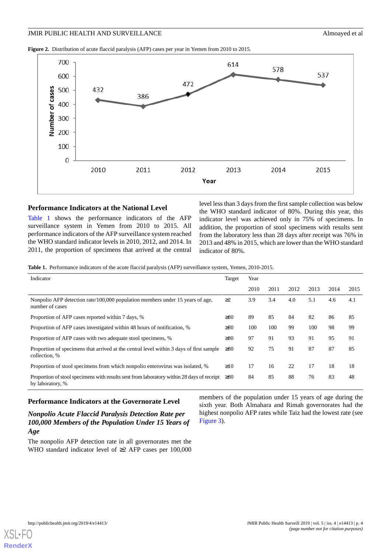<span id="page-3-0"></span>**Figure 2.** Distribution of acute flaccid paralysis (AFP) cases per year in Yemen from 2010 to 2015.



#### **Performance Indicators at the National Level**

<span id="page-3-1"></span>[Table 1](#page-3-1) shows the performance indicators of the AFP surveillance system in Yemen from 2010 to 2015. All performance indicators of the AFP surveillance system reached the WHO standard indicator levels in 2010, 2012, and 2014. In 2011, the proportion of specimens that arrived at the central level less than 3 days from the first sample collection was below the WHO standard indicator of 80%. During this year, this indicator level was achieved only in 75% of specimens. In addition, the proportion of stool specimens with results sent from the laboratory less than 28 days after receipt was 76% in 2013 and 48% in 2015, which are lower than the WHO standard indicator of 80%.

**Table 1.** Performance indicators of the acute flaccid paralysis (AFP) surveillance system, Yemen, 2010-2015.

| Indicator                                                                                                     | Target    | Year |      |      |      |      |      |
|---------------------------------------------------------------------------------------------------------------|-----------|------|------|------|------|------|------|
|                                                                                                               |           | 2010 | 2011 | 2012 | 2013 | 2014 | 2015 |
| Nonpolio AFP detection rate/100,000 population members under 15 years of age,<br>number of cases              | $\geq$ 2  | 3.9  | 3.4  | 4.0  | 5.1  | 4.6  | 4.1  |
| Proportion of AFP cases reported within 7 days, %                                                             | $\geq 80$ | 89   | 85   | 84   | 82   | 86   | 85   |
| Proportion of AFP cases investigated within 48 hours of notification, %                                       | $\geq 80$ | 100  | 100  | 99   | 100  | 98   | 99   |
| Proportion of AFP cases with two adequate stool specimens, %                                                  | $\geq 80$ | 97   | 91   | 93   | 91   | 95   | 91   |
| Proportion of specimens that arrived at the central level within 3 days of first sample<br>collection, %      | $\geq 80$ | 92   | 75   | 91   | 87   | 87   | 85   |
| Proportion of stool specimens from which nonpolio enterovirus was isolated, %                                 | $\geq 10$ | 17   | 16   | 22   | 17   | 18   | 18   |
| Proportion of stool specimens with results sent from laboratory within 28 days of receipt<br>by laboratory, % | $\geq 80$ | 84   | 85   | 88   | 76   | 83   | 48   |

## **Performance Indicators at the Governorate Level**

# *Nonpolio Acute Flaccid Paralysis Detection Rate per 100,000 Members of the Population Under 15 Years of Age*

The nonpolio AFP detection rate in all governorates met the WHO standard indicator level of ≥2 AFP cases per 100,000 members of the population under 15 years of age during the sixth year. Both Almahara and Rimah governorates had the highest nonpolio AFP rates while Taiz had the lowest rate (see [Figure 3](#page-4-0)).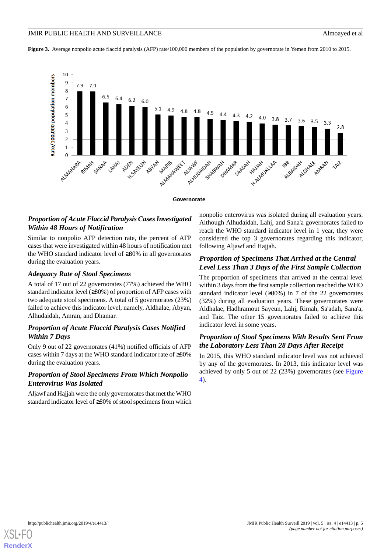<span id="page-4-0"></span>**Figure 3.** Average nonpolio acute flaccid paralysis (AFP) rate/100,000 members of the population by governorate in Yemen from 2010 to 2015.



Governorate

# *Proportion of Acute Flaccid Paralysis Cases Investigated Within 48 Hours of Notification*

Similar to nonpolio AFP detection rate, the percent of AFP cases that were investigated within 48 hours of notification met the WHO standard indicator level of ≥80% in all governorates during the evaluation years.

# *Adequacy Rate of Stool Specimens*

A total of 17 out of 22 governorates (77%) achieved the WHO standard indicator level (≥80%) of proportion of AFP cases with two adequate stool specimens. A total of 5 governorates (23%) failed to achieve this indicator level, namely, Aldhalae, Abyan, Alhudaidah, Amran, and Dhamar.

# *Proportion of Acute Flaccid Paralysis Cases Notified Within 7 Days*

Only 9 out of 22 governorates (41%) notified officials of AFP cases within 7 days at the WHO standard indicator rate of ≥80% during the evaluation years.

# *Proportion of Stool Specimens From Which Nonpolio Enterovirus Was Isolated*

Aljawf and Hajjah were the only governorates that met the WHO standard indicator level of ≥80% of stool specimens from which

nonpolio enterovirus was isolated during all evaluation years. Although Alhudaidah, Lahj, and Sana'a governorates failed to reach the WHO standard indicator level in 1 year, they were considered the top 3 governorates regarding this indicator, following Aljawf and Hajjah.

# *Proportion of Specimens That Arrived at the Central Level Less Than 3 Days of the First Sample Collection*

The proportion of specimens that arrived at the central level within 3 days from the first sample collection reached the WHO standard indicator level (≥80%) in 7 of the 22 governorates (32%) during all evaluation years. These governorates were Aldhalae, Hadhramout Sayeun, Lahj, Rimah, Sa'adah, Sana'a, and Taiz. The other 15 governorates failed to achieve this indicator level in some years.

# *Proportion of Stool Specimens With Results Sent From the Laboratory Less Than 28 Days After Receipt*

In 2015, this WHO standard indicator level was not achieved by any of the governorates. In 2013, this indicator level was achieved by only 5 out of 22 (23%) governorates (see [Figure](#page-5-0) [4\)](#page-5-0).

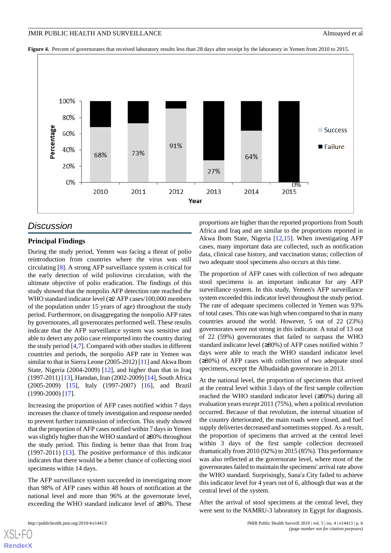<span id="page-5-0"></span>Figure 4. Percent of governorates that received laboratory results less than 28 days after receipt by the laboratory in Yemen from 2010 to 2015.



# *Discussion*

## **Principal Findings**

During the study period, Yemen was facing a threat of polio reintroduction from countries where the virus was still circulating [[8\]](#page-6-7). A strong AFP surveillance system is critical for the early detection of wild poliovirus circulation, with the ultimate objective of polio eradication. The findings of this study showed that the nonpolio AFP detection rate reached the WHO standard indicator level (≥2 AFP cases/100,000 members of the population under 15 years of age) throughout the study period. Furthermore, on disaggregating the nonpolio AFP rates by governorates, all governorates performed well. These results indicate that the AFP surveillance system was sensitive and able to detect any polio case reimported into the country during the study period [\[4](#page-6-3),[7\]](#page-6-6). Compared with other studies in different countries and periods, the nonpolio AFP rate in Yemen was similar to that in Sierra Leone (2005-2012) [\[11\]](#page-6-10) and Akwa Ibom State, Nigeria (2004-2009) [[12\]](#page-6-11), and higher than that in Iraq (1997-2011) [[13\]](#page-6-12), Hamdan, Iran (2002-2009) [\[14](#page-6-13)], South Africa (2005-2009) [[15\]](#page-6-14), Italy (1997-2007) [\[16](#page-7-0)], and Brazil (1990-2000) [\[17](#page-7-1)].

Increasing the proportion of AFP cases notified within 7 days increases the chance of timely investigation and response needed to prevent further transmission of infection. This study showed that the proportion of AFP cases notified within 7 days in Yemen was slightly higher than the WHO standard of ≥80% throughout the study period. This finding is better than that from Iraq (1997-2011) [\[13](#page-6-12)]. The positive performance of this indicator indicates that there would be a better chance of collecting stool specimens within 14 days.

The AFP surveillance system succeeded in investigating more than 98% of AFP cases within 48 hours of notification at the national level and more than 96% at the governorate level, exceeding the WHO standard indicator level of ≥80%. These

[XSL](http://www.w3.org/Style/XSL)•FO **[RenderX](http://www.renderx.com/)**

proportions are higher than the reported proportions from South Africa and Iraq and are similar to the proportions reported in Akwa Ibom State, Nigeria [[12,](#page-6-11)[15](#page-6-14)]. When investigating AFP cases, many important data are collected, such as notification data, clinical case history, and vaccination status; collection of two adequate stool specimens also occurs at this time.

The proportion of AFP cases with collection of two adequate stool specimens is an important indicator for any AFP surveillance system. In this study, Yemen's AFP surveillance system exceeded this indicator level throughout the study period. The rate of adequate specimens collected in Yemen was 93% of total cases. This rate was high when compared to that in many countries around the world. However, 5 out of 22 (23%) governorates were not strong in this indicator. A total of 13 out of 22 (59%) governorates that failed to surpass the WHO standard indicator level (≥80%) of AFP cases notified within 7 days were able to reach the WHO standard indicator level (≥80%) of AFP cases with collection of two adequate stool specimens, except the Alhudaidah governorate in 2013.

At the national level, the proportion of specimens that arrived at the central level within 3 days of the first sample collection reached the WHO standard indicator level (≥80%) during all evaluation years except 2011 (75%), when a political revolution occurred. Because of that revolution, the internal situation of the country deteriorated, the main roads were closed, and fuel supply deliveries decreased and sometimes stopped. As a result, the proportion of specimens that arrived at the central level within 3 days of the first sample collection decreased dramatically from 2010 (92%) to 2015 (85%). This performance was also reflected at the governorate level, where most of the governorates failed to maintain the specimens' arrival rate above the WHO standard. Surprisingly, Sana'a City failed to achieve this indicator level for 4 years out of 6, although that was at the central level of the system.

After the arrival of stool specimens at the central level, they were sent to the NAMRU-3 laboratory in Egypt for diagnosis.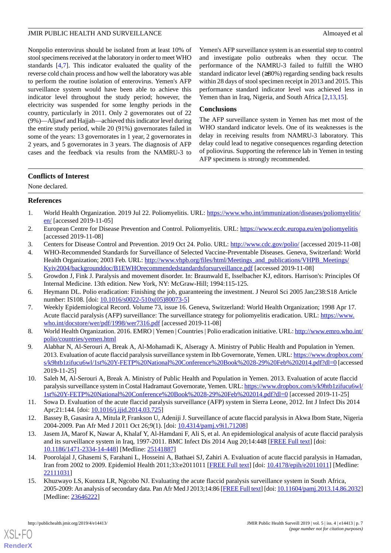Nonpolio enterovirus should be isolated from at least 10% of stool specimens received at the laboratory in order to meet WHO standards [\[4](#page-6-3),[7\]](#page-6-6). This indicator evaluated the quality of the reverse cold chain process and how well the laboratory was able to perform the routine isolation of enterovirus. Yemen's AFP surveillance system would have been able to achieve this indicator level throughout the study period; however, the electricity was suspended for some lengthy periods in the country, particularly in 2011. Only 2 governorates out of 22 (9%)—Aljawf and Hajjah—achieved this indicator level during the entire study period, while 20 (91%) governorates failed in some of the years: 13 governorates in 1 year, 2 governorates in 2 years, and 5 governorates in 3 years. The diagnosis of AFP cases and the feedback via results from the NAMRU-3 to

Yemen's AFP surveillance system is an essential step to control and investigate polio outbreaks when they occur. The performance of the NAMRU-3 failed to fulfill the WHO standard indicator level (≥80%) regarding sending back results within 28 days of stool specimen receipt in 2013 and 2015. This performance standard indicator level was achieved less in Yemen than in Iraq, Nigeria, and South Africa [\[2](#page-6-1),[13](#page-6-12)[,15](#page-6-14)].

## **Conclusions**

The AFP surveillance system in Yemen has met most of the WHO standard indicator levels. One of its weaknesses is the delay in receiving results from NAMRU-3 laboratory. This delay could lead to negative consequences regarding detection of poliovirus. Supporting the reference lab in Yemen in testing AFP specimens is strongly recommended.

## **Conflicts of Interest**

<span id="page-6-0"></span>None declared.

# <span id="page-6-1"></span>**References**

- <span id="page-6-2"></span>1. World Health Organization. 2019 Jul 22. Poliomyelitis. URL: [https://www.who.int/immunization/diseases/poliomyelitis/](https://www.who.int/immunization/diseases/poliomyelitis/en/) [en/](https://www.who.int/immunization/diseases/poliomyelitis/en/) [accessed 2019-11-05]
- <span id="page-6-3"></span>2. European Centre for Disease Prevention and Control. Poliomyelitis. URL: <https://www.ecdc.europa.eu/en/poliomyelitis> [accessed 2019-11-08]
- 3. Centers for Disease Control and Prevention. 2019 Oct 24. Polio. URL:<http://www.cdc.gov/polio/> [accessed 2019-11-08]
- <span id="page-6-5"></span><span id="page-6-4"></span>4. WHO-Recommended Standards for Surveillance of Selected Vaccine-Preventable Diseases. Geneva, Switzerland: World Health Organization; 2003 Feb. URL: [http://www.vhpb.org/files/html/Meetings\\_and\\_publications/VHPB\\_Meetings/](http://www.vhpb.org/files/html/Meetings_and_publications/VHPB_Meetings/Kyiv2004/backgrounddoc/B1EWHOrecommendedstandardsforsurveillance.pdf) [Kyiv2004/backgrounddoc/B1EWHOrecommendedstandardsforsurveillance.pdf](http://www.vhpb.org/files/html/Meetings_and_publications/VHPB_Meetings/Kyiv2004/backgrounddoc/B1EWHOrecommendedstandardsforsurveillance.pdf) [accessed 2019-11-08]
- <span id="page-6-6"></span>5. Growdon J, Fink J. Paralysis and movement disorder. In: Braunwald E, Isselbacher KJ, editors. Harrison's: Principles Of Internal Medicine. 13th edition. New York, NY: McGraw-Hill; 1994:115-125.
- <span id="page-6-7"></span>6. Heymann DL. Polio eradication: Finishing the job, guaranteeing the investment. J Neurol Sci 2005 Jan;238:S18 Article number: IS108. [doi: [10.1016/s0022-510x\(05\)80073-5](http://dx.doi.org/10.1016/s0022-510x(05)80073-5)]
- <span id="page-6-8"></span>7. Weekly Epidemiological Record. Volume 73, issue 16. Geneva, Switzerland: World Health Organization; 1998 Apr 17. Acute flaccid paralysis (AFP) surveillance: The surveillance strategy for poliomyelitis eradication. URL: [https://www.](https://www.who.int/docstore/wer/pdf/1998/wer7316.pdf) [who.int/docstore/wer/pdf/1998/wer7316.pdf](https://www.who.int/docstore/wer/pdf/1998/wer7316.pdf) [accessed 2019-11-08]
- 8. World Health Organization. 2016. EMRO | Yemen | Countries | Polio eradication initiative. URL: [http://www.emro.who.int/](http://www.emro.who.int/polio/countries/yemen.html) [polio/countries/yemen.html](http://www.emro.who.int/polio/countries/yemen.html)
- <span id="page-6-10"></span><span id="page-6-9"></span>9. Alabhar N, Al-Serouri A, Break A, Al-Mohamadi K, Alseragy A. Ministry of Public Health and Population in Yemen. 2013. Evaluation of acute flaccid paralysis surveillance system in Ibb Governorate, Yemen. URL: [https://www.dropbox.com/](https://www.dropbox.com/s/k9htb1zifucu6wl/1st%20Y-FETP%20National%20Conference%20Book%2028-29%20Feb%202014.pdf?dl=0) [s/k9htb1zifucu6wl/1st%20Y-FETP%20National%20Conference%20Book%2028-29%20Feb%202014.pdf?dl=0](https://www.dropbox.com/s/k9htb1zifucu6wl/1st%20Y-FETP%20National%20Conference%20Book%2028-29%20Feb%202014.pdf?dl=0) [accessed 2019-11-25]
- <span id="page-6-11"></span>10. Saleh M, Al-Serouri A, Break A. Ministry of Public Health and Population in Yemen. 2013. Evaluation of acute flaccid paralysis surveillance system in Costal Hadramaut Governorate, Yemen. URL: [https://www.dropbox.com/s/k9htb1zifucu6wl/](https://www.dropbox.com/s/k9htb1zifucu6wl/1st%20Y-FETP%20National%20Conference%20Book%2028-29%20Feb%202014.pdf?dl=0) [1st%20Y-FETP%20National%20Conference%20Book%2028-29%20Feb%202014.pdf?dl=0](https://www.dropbox.com/s/k9htb1zifucu6wl/1st%20Y-FETP%20National%20Conference%20Book%2028-29%20Feb%202014.pdf?dl=0) [accessed 2019-11-25]
- <span id="page-6-12"></span>11. Sowa D. Evaluation of the acute flaccid paralysis surveillance (AFP) system in Sierra Leone, 2012. Int J Infect Dis 2014 Apr;21:144. [doi: [10.1016/j.ijid.2014.03.725](http://dx.doi.org/10.1016/j.ijid.2014.03.725)]
- <span id="page-6-13"></span>12. Bassey B, Gasasira A, Mitula P, Frankson U, Adeniji J. Surveillance of acute flaccid paralysis in Akwa Ibom State, Nigeria 2004-2009. Pan Afr Med J 2011 Oct 26;9(1). [doi: [10.4314/pamj.v9i1.71208](http://dx.doi.org/10.4314/pamj.v9i1.71208)]
- <span id="page-6-14"></span>13. Jasem JA, Marof K, Nawar A, Khalaf Y, Al-Hamdani F, Ali S, et al. An epidemiological analysis of acute flaccid paralysis and its surveillance system in Iraq, 1997-2011. BMC Infect Dis 2014 Aug 20;14:448 [[FREE Full text](https://bmcinfectdis.biomedcentral.com/articles/10.1186/1471-2334-14-448)] [doi: [10.1186/1471-2334-14-448\]](http://dx.doi.org/10.1186/1471-2334-14-448) [Medline: [25141887\]](http://www.ncbi.nlm.nih.gov/entrez/query.fcgi?cmd=Retrieve&db=PubMed&list_uids=25141887&dopt=Abstract)
- 14. Poorolajal J, Ghasemi S, Farahani L, Hosseini A, Bathaei SJ, Zahiri A. Evaluation of acute flaccid paralysis in Hamadan, Iran from 2002 to 2009. Epidemiol Health 2011;33:e2011011 [[FREE Full text](https://dx.doi.org/10.4178/epih/e2011011)] [doi: [10.4178/epih/e2011011](http://dx.doi.org/10.4178/epih/e2011011)] [Medline: [22111031](http://www.ncbi.nlm.nih.gov/entrez/query.fcgi?cmd=Retrieve&db=PubMed&list_uids=22111031&dopt=Abstract)]
- 15. Khuzwayo LS, Kuonza LR, Ngcobo NJ. Evaluating the acute flaccid paralysis surveillance system in South Africa, 2005-2009: An analysis of secondary data. Pan Afr Med J 2013;14:86 [\[FREE Full text](http://www.panafrican-med-journal.com/content/article/14/86/full/)] [doi: [10.11604/pamj.2013.14.86.2032\]](http://dx.doi.org/10.11604/pamj.2013.14.86.2032) [Medline: [23646222](http://www.ncbi.nlm.nih.gov/entrez/query.fcgi?cmd=Retrieve&db=PubMed&list_uids=23646222&dopt=Abstract)]

[XSL](http://www.w3.org/Style/XSL)•FO **[RenderX](http://www.renderx.com/)**